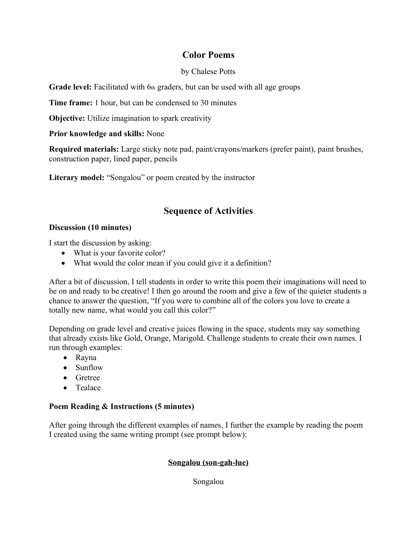## **Color Poems**

#### by Chalese Potts

**Grade level:** Facilitated with 6th graders, but can be used with all age groups

**Time frame:** 1 hour, but can be condensed to 30 minutes

**Objective:** Utilize imagination to spark creativity

#### **Prior knowledge and skills:** None

**Required materials:** Large sticky note pad, paint/crayons/markers (prefer paint), paint brushes, construction paper, lined paper, pencils

Literary model: "Songalou" or poem created by the instructor

# **Sequence of Activities**

#### **Discussion (10 minutes)**

I start the discussion by asking:

- What is your favorite color?
- What would the color mean if you could give it a definition?

After a bit of discussion, I tell students in order to write this poem their imaginations will need to be on and ready to be creative! I then go around the room and give a few of the quieter students a chance to answer the question, "If you were to combine all of the colors you love to create a totally new name, what would you call this color?"

Depending on grade level and creative juices flowing in the space, students may say something that already exists like Gold, Orange, Marigold. Challenge students to create their own names. I run through examples:

- Rayna
- Sunflow
- Gretree
- Tealace

## **Poem Reading & Instructions (5 minutes)**

After going through the different examples of names, I further the example by reading the poem I created using the same writing prompt (see prompt below):

## **Songalou (son-gah-lue)**

Songalou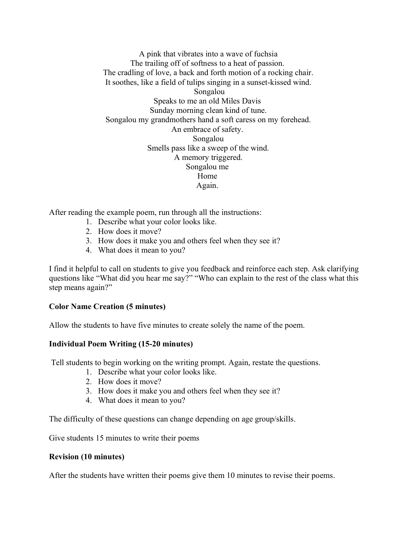A pink that vibrates into a wave of fuchsia The trailing off of softness to a heat of passion. The cradling of love, a back and forth motion of a rocking chair. It soothes, like a field of tulips singing in a sunset-kissed wind. Songalou Speaks to me an old Miles Davis Sunday morning clean kind of tune. Songalou my grandmothers hand a soft caress on my forehead. An embrace of safety. Songalou Smells pass like a sweep of the wind. A memory triggered. Songalou me Home Again.

After reading the example poem, run through all the instructions:

- 1. Describe what your color looks like.
- 2. How does it move?
- 3. How does it make you and others feel when they see it?
- 4. What does it mean to you?

I find it helpful to call on students to give you feedback and reinforce each step. Ask clarifying questions like "What did you hear me say?" "Who can explain to the rest of the class what this step means again?"

## **Color Name Creation (5 minutes)**

Allow the students to have five minutes to create solely the name of the poem.

#### **Individual Poem Writing (15-20 minutes)**

Tell students to begin working on the writing prompt. Again, restate the questions.

- 1. Describe what your color looks like.
- 2. How does it move?
- 3. How does it make you and others feel when they see it?
- 4. What does it mean to you?

The difficulty of these questions can change depending on age group/skills.

Give students 15 minutes to write their poems

#### **Revision (10 minutes)**

After the students have written their poems give them 10 minutes to revise their poems.